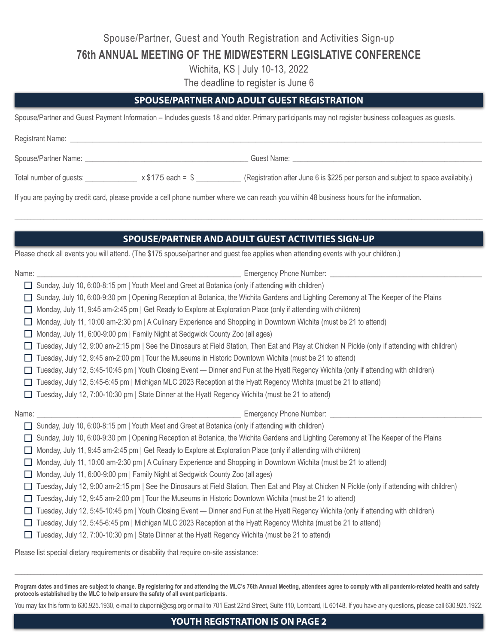Spouse/Partner, Guest and Youth Registration and Activities Sign-up

**76th ANNUAL MEETING OF THE MIDWESTERN LEGISLATIVE CONFERENCE**

Wichita, KS | July 10-13, 2022

The deadline to register is June 6

## **SPOUSE/PARTNER AND ADULT GUEST REGISTRATION**

Spouse/Partner and Guest Payment Information – Includes guests 18 and older. Primary participants may not register business colleagues as guests.

Registrant Name: \_

Spouse/Partner Name: \_\_\_\_\_\_\_\_\_\_\_\_\_\_\_\_\_\_\_\_\_\_\_\_\_\_\_\_\_\_\_\_\_\_\_\_\_\_\_\_\_\_\_\_ Guest Name: \_\_\_\_\_\_\_\_\_\_\_\_\_\_\_\_\_\_\_\_\_\_\_\_\_\_\_\_\_\_\_\_\_\_\_\_\_\_\_\_\_\_\_\_\_\_\_\_\_\_\_

Total number of guests: \_\_\_\_\_\_\_\_\_\_\_\_\_\_ x \$175 each = \$ \_\_\_\_\_\_\_\_\_\_\_\_ (Registration after June 6 is \$225 per person and subject to space availabity.)

If you are paying by credit card, please provide a cell phone number where we can reach you within 48 business hours for the information.

## **SPOUSE/PARTNER AND ADULT GUEST ACTIVITIES SIGN-UP**

\_\_\_\_\_\_\_\_\_\_\_\_\_\_\_\_\_\_\_\_\_\_\_\_\_\_\_\_\_\_\_\_\_\_\_\_\_\_\_\_\_\_\_\_\_\_\_\_\_\_\_\_\_\_\_\_\_\_\_\_\_\_\_\_\_\_\_\_\_\_\_\_\_\_\_\_\_\_\_\_\_\_\_\_\_\_\_\_\_\_\_\_\_\_\_\_\_\_\_\_\_\_\_\_\_\_\_\_\_\_\_\_\_\_\_\_\_\_\_\_\_\_\_\_\_\_\_\_\_\_\_\_\_\_\_\_\_\_\_\_\_\_\_\_\_

Please check all events you will attend. (The \$175 spouse/partner and guest fee applies when attending events with your children.)

|              | Name: Name: Name: Name: Name: Name: Name: Name: Name: Name: Name: Name: Name: Name: Name: Name: Name: Name: Name: Name: Name: Name: Name: Name: Name: Name: Name: Name: Name: Name: Name: Name: Name: Name: Name: Name: Name:              |  |  |  |
|--------------|--------------------------------------------------------------------------------------------------------------------------------------------------------------------------------------------------------------------------------------------|--|--|--|
|              | Sunday, July 10, 6:00-8:15 pm   Youth Meet and Greet at Botanica (only if attending with children)                                                                                                                                         |  |  |  |
| $\perp$      | Sunday, July 10, 6:00-9:30 pm   Opening Reception at Botanica, the Wichita Gardens and Lighting Ceremony at The Keeper of the Plains                                                                                                       |  |  |  |
| ш            | Monday, July 11, 9:45 am-2:45 pm   Get Ready to Explore at Exploration Place (only if attending with children)                                                                                                                             |  |  |  |
| Ш            | Monday, July 11, 10:00 am-2:30 pm   A Culinary Experience and Shopping in Downtown Wichita (must be 21 to attend)                                                                                                                          |  |  |  |
| ш            | Monday, July 11, 6:00-9:00 pm   Family Night at Sedgwick County Zoo (all ages)                                                                                                                                                             |  |  |  |
| $\mathbf{L}$ | Tuesday, July 12, 9:00 am-2:15 pm   See the Dinosaurs at Field Station, Then Eat and Play at Chicken N Pickle (only if attending with children)                                                                                            |  |  |  |
| $\mathbf{L}$ | Tuesday, July 12, 9:45 am-2:00 pm   Tour the Museums in Historic Downtown Wichita (must be 21 to attend)                                                                                                                                   |  |  |  |
| $\mathbf{L}$ | Tuesday, July 12, 5:45-10:45 pm   Youth Closing Event — Dinner and Fun at the Hyatt Regency Wichita (only if attending with children)                                                                                                      |  |  |  |
| ш            | Tuesday, July 12, 5:45-6:45 pm   Michigan MLC 2023 Reception at the Hyatt Regency Wichita (must be 21 to attend)                                                                                                                           |  |  |  |
|              | Tuesday, July 12, 7:00-10:30 pm   State Dinner at the Hyatt Regency Wichita (must be 21 to attend)                                                                                                                                         |  |  |  |
|              |                                                                                                                                                                                                                                            |  |  |  |
| Name:        |                                                                                                                                                                                                                                            |  |  |  |
| П            |                                                                                                                                                                                                                                            |  |  |  |
| $\Box$       | Sunday, July 10, 6:00-8:15 pm   Youth Meet and Greet at Botanica (only if attending with children)<br>Sunday, July 10, 6:00-9:30 pm   Opening Reception at Botanica, the Wichita Gardens and Lighting Ceremony at The Keeper of the Plains |  |  |  |
| ш            | Monday, July 11, 9:45 am-2:45 pm   Get Ready to Explore at Exploration Place (only if attending with children)                                                                                                                             |  |  |  |
| Ш            | Monday, July 11, 10:00 am-2:30 pm   A Culinary Experience and Shopping in Downtown Wichita (must be 21 to attend)                                                                                                                          |  |  |  |
| ш            | Monday, July 11, 6:00-9:00 pm   Family Night at Sedgwick County Zoo (all ages)                                                                                                                                                             |  |  |  |
| ш            | Tuesday, July 12, 9:00 am-2:15 pm   See the Dinosaurs at Field Station, Then Eat and Play at Chicken N Pickle (only if attending with children)                                                                                            |  |  |  |
|              | Tuesday, July 12, 9:45 am-2:00 pm   Tour the Museums in Historic Downtown Wichita (must be 21 to attend)                                                                                                                                   |  |  |  |
| П            | Tuesday, July 12, 5:45-10:45 pm   Youth Closing Event — Dinner and Fun at the Hyatt Regency Wichita (only if attending with children)                                                                                                      |  |  |  |
|              | Tuesday, July 12, 5:45-6:45 pm   Michigan MLC 2023 Reception at the Hyatt Regency Wichita (must be 21 to attend)                                                                                                                           |  |  |  |
| $\Box$       | Tuesday, July 12, 7:00-10:30 pm   State Dinner at the Hyatt Regency Wichita (must be 21 to attend)                                                                                                                                         |  |  |  |

**Program dates and times are subject to change. By registering for and attending the MLC's 76th Annual Meeting, attendees agree to comply with all pandemic-related health and safety protocols established by the MLC to help ensure the safety of all event participants.**

 $\Box \Box \Box \Box \Box \Box \Box \Box \Box \Box$ 

You may fax this form to 630.925.1930, e-mail to cluporini@csg.org or mail to 701 East 22nd Street, Suite 110, Lombard, IL 60148. If you have any questions, please call 630.925.1922.

**YOUTH REGISTRATION IS ON PAGE 2**